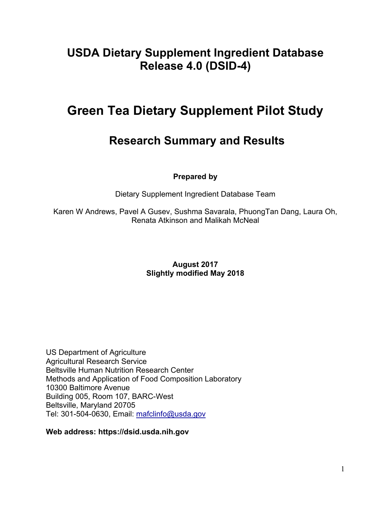# **USDA Dietary Supplement Ingredient Database Release 4.0 (DSID-4)**

# **Green Tea Dietary Supplement Pilot Study**

# **Research Summary and Results**

### **Prepared by**

Dietary Supplement Ingredient Database Team

Karen W Andrews, Pavel A Gusev, Sushma Savarala, PhuongTan Dang, Laura Oh, Renata Atkinson and Malikah McNeal

#### **August 2017 Slightly modified May 2018**

US Department of Agriculture Agricultural Research Service Beltsville Human Nutrition Research Center Methods and Application of Food Composition Laboratory 10300 Baltimore Avenue Building 005, Room 107, BARC-West Beltsville, Maryland 20705 Tel: 301-504-0630, Email: [mafclinfo@usda.gov](mailto:mafclinfo@usda.gov)

**Web address: https://dsid.usda.nih.gov**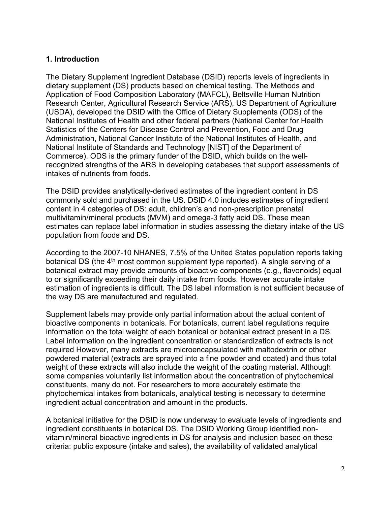#### **1. Introduction**

The Dietary Supplement Ingredient Database (DSID) reports levels of ingredients in dietary supplement (DS) products based on chemical testing. The Methods and Application of Food Composition Laboratory (MAFCL), Beltsville Human Nutrition Research Center, Agricultural Research Service (ARS), US Department of Agriculture (USDA), developed the DSID with the Office of Dietary Supplements (ODS) of the National Institutes of Health and other federal partners (National Center for Health Statistics of the Centers for Disease Control and Prevention, Food and Drug Administration, National Cancer Institute of the National Institutes of Health, and National Institute of Standards and Technology [NIST] of the Department of Commerce). ODS is the primary funder of the DSID, which builds on the wellrecognized strengths of the ARS in developing databases that support assessments of intakes of nutrients from foods.

The DSID provides analytically-derived estimates of the ingredient content in DS commonly sold and purchased in the US. DSID 4.0 includes estimates of ingredient content in 4 categories of DS: adult, children's and non-prescription prenatal multivitamin/mineral products (MVM) and omega-3 fatty acid DS. These mean estimates can replace label information in studies assessing the dietary intake of the US population from foods and DS.

According to the 2007-10 NHANES, 7.5% of the United States population reports taking botanical DS (the 4<sup>th</sup> most common supplement type reported). A single serving of a botanical extract may provide amounts of bioactive components (e.g., flavonoids) equal to or significantly exceeding their daily intake from foods. However accurate intake estimation of ingredients is difficult. The DS label information is not sufficient because of the way DS are manufactured and regulated.

Supplement labels may provide only partial information about the actual content of bioactive components in botanicals. For botanicals, current label regulations require information on the total weight of each botanical or botanical extract present in a DS. Label information on the ingredient concentration or standardization of extracts is not required However, many extracts are microencapsulated with maltodextrin or other powdered material (extracts are sprayed into a fine powder and coated) and thus total weight of these extracts will also include the weight of the coating material. Although some companies voluntarily list information about the concentration of phytochemical constituents, many do not. For researchers to more accurately estimate the phytochemical intakes from botanicals, analytical testing is necessary to determine ingredient actual concentration and amount in the products.

A botanical initiative for the DSID is now underway to evaluate levels of ingredients and ingredient constituents in botanical DS. The DSID Working Group identified nonvitamin/mineral bioactive ingredients in DS for analysis and inclusion based on these criteria: public exposure (intake and sales), the availability of validated analytical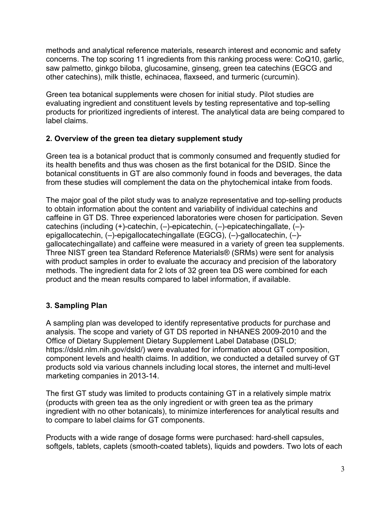methods and analytical reference materials, research interest and economic and safety concerns. The top scoring 11 ingredients from this ranking process were: CoQ10, garlic, saw palmetto, ginkgo biloba, glucosamine, ginseng, green tea catechins (EGCG and other catechins), milk thistle, echinacea, flaxseed, and turmeric (curcumin).

Green tea botanical supplements were chosen for initial study. Pilot studies are evaluating ingredient and constituent levels by testing representative and top-selling products for prioritized ingredients of interest. The analytical data are being compared to label claims.

### **2. Overview of the green tea dietary supplement study**

Green tea is a botanical product that is commonly consumed and frequently studied for its health benefits and thus was chosen as the first botanical for the DSID. Since the botanical constituents in GT are also commonly found in foods and beverages, the data from these studies will complement the data on the phytochemical intake from foods.

The major goal of the pilot study was to analyze representative and top-selling products to obtain information about the content and variability of individual catechins and caffeine in GT DS. Three experienced laboratories were chosen for participation. Seven catechins (including (+)-catechin, (–)-epicatechin, (–)-epicatechingallate, (–) epigallocatechin, (–)-epigallocatechingallate (EGCG), (–)-gallocatechin, (–) gallocatechingallate) and caffeine were measured in a variety of green tea supplements. Three NIST green tea Standard Reference Materials® (SRMs) were sent for analysis with product samples in order to evaluate the accuracy and precision of the laboratory methods. The ingredient data for 2 lots of 32 green tea DS were combined for each product and the mean results compared to label information, if available.

## **3. Sampling Plan**

A sampling plan was developed to identify representative products for purchase and analysis. The scope and variety of GT DS reported in NHANES 2009-2010 and the Office of Dietary Supplement Dietary Supplement Label Database (DSLD; https://dsld.nlm.nih.gov/dsld/) were evaluated for information about GT composition, component levels and health claims. In addition, we conducted a detailed survey of GT products sold via various channels including local stores, the internet and multi-level marketing companies in 2013-14.

The first GT study was limited to products containing GT in a relatively simple matrix (products with green tea as the only ingredient or with green tea as the primary ingredient with no other botanicals), to minimize interferences for analytical results and to compare to label claims for GT components.

Products with a wide range of dosage forms were purchased: hard-shell capsules, softgels, tablets, caplets (smooth-coated tablets), liquids and powders. Two lots of each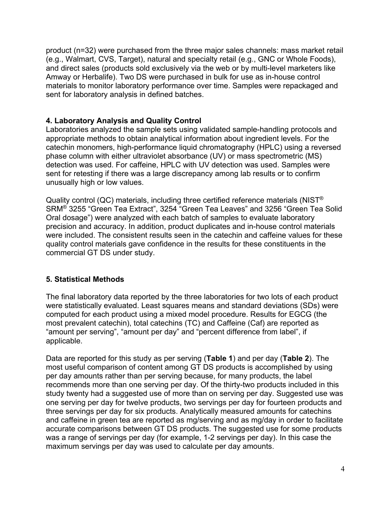product (n=32) were purchased from the three major sales channels: mass market retail (e.g., Walmart, CVS, Target), natural and specialty retail (e.g., GNC or Whole Foods), and direct sales (products sold exclusively via the web or by multi-level marketers like Amway or Herbalife). Two DS were purchased in bulk for use as in-house control materials to monitor laboratory performance over time. Samples were repackaged and sent for laboratory analysis in defined batches.

#### **4. Laboratory Analysis and Quality Control**

Laboratories analyzed the sample sets using validated sample-handling protocols and appropriate methods to obtain analytical information about ingredient levels. For the catechin monomers, high-performance liquid chromatography (HPLC) using a reversed phase column with either ultraviolet absorbance (UV) or mass spectrometric (MS) detection was used. For caffeine, HPLC with UV detection was used. Samples were sent for retesting if there was a large discrepancy among lab results or to confirm unusually high or low values.

Quality control (QC) materials, including three certified reference materials (NIST<sup>®</sup> SRM® 3255 "Green Tea Extract", 3254 "Green Tea Leaves" and 3256 "Green Tea Solid Oral dosage") were analyzed with each batch of samples to evaluate laboratory precision and accuracy. In addition, product duplicates and in-house control materials were included. The consistent results seen in the catechin and caffeine values for these quality control materials gave confidence in the results for these constituents in the commercial GT DS under study.

## **5. Statistical Methods**

The final laboratory data reported by the three laboratories for two lots of each product were statistically evaluated. Least squares means and standard deviations (SDs) were computed for each product using a mixed model procedure. Results for EGCG (the most prevalent catechin), total catechins (TC) and Caffeine (Caf) are reported as "amount per serving", "amount per day" and "percent difference from label", if applicable.

Data are reported for this study as per serving (**Table 1**) and per day (**Table 2**). The most useful comparison of content among GT DS products is accomplished by using per day amounts rather than per serving because, for many products, the label recommends more than one serving per day. Of the thirty-two products included in this study twenty had a suggested use of more than on serving per day. Suggested use was one serving per day for twelve products, two servings per day for fourteen products and three servings per day for six products. Analytically measured amounts for catechins and caffeine in green tea are reported as mg/serving and as mg/day in order to facilitate accurate comparisons between GT DS products. The suggested use for some products was a range of servings per day (for example, 1-2 servings per day). In this case the maximum servings per day was used to calculate per day amounts.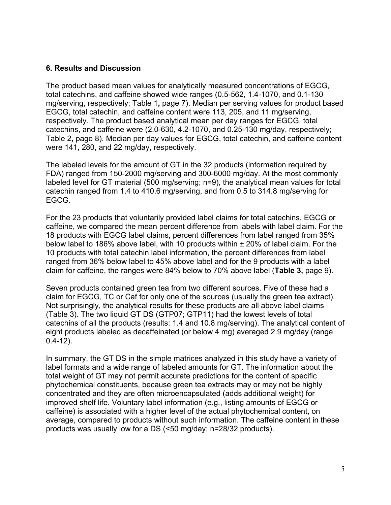#### **6. Results and Discussion**

The product based mean values for analytically measured concentrations of EGCG, total catechins, and caffeine showed wide ranges (0.5-562, 1.4-1070, and 0.1-130 mg/serving, respectively; Table 1**,** page 7). Median per serving values for product based EGCG, total catechin, and caffeine content were 113, 205, and 11 mg/serving, respectively. The product based analytical mean per day ranges for EGCG, total catechins, and caffeine were (2.0-630, 4.2-1070, and 0.25-130 mg/day, respectively; Table 2**,** page 8). Median per day values for EGCG, total catechin, and caffeine content were 141, 280, and 22 mg/day, respectively.

The labeled levels for the amount of GT in the 32 products (information required by FDA) ranged from 150-2000 mg/serving and 300-6000 mg/day. At the most commonly labeled level for GT material (500 mg/serving; n=9), the analytical mean values for total catechin ranged from 1.4 to 410.6 mg/serving, and from 0.5 to 314.8 mg/serving for EGCG.

For the 23 products that voluntarily provided label claims for total catechins, EGCG or caffeine, we compared the mean percent difference from labels with label claim. For the 18 products with EGCG label claims, percent differences from label ranged from 35% below label to 186% above label, with 10 products within ± 20% of label claim. For the 10 products with total catechin label information, the percent differences from label ranged from 36% below label to 45% above label and for the 9 products with a label claim for caffeine, the ranges were 84% below to 70% above label (**Table 3,** page 9).

Seven products contained green tea from two different sources. Five of these had a claim for EGCG, TC or Caf for only one of the sources (usually the green tea extract). Not surprisingly, the analytical results for these products are all above label claims (Table 3). The two liquid GT DS (GTP07; GTP11) had the lowest levels of total catechins of all the products (results: 1.4 and 10.8 mg/serving). The analytical content of eight products labeled as decaffeinated (or below 4 mg) averaged 2.9 mg/day (range 0.4-12).

In summary, the GT DS in the simple matrices analyzed in this study have a variety of label formats and a wide range of labeled amounts for GT. The information about the total weight of GT may not permit accurate predictions for the content of specific phytochemical constituents, because green tea extracts may or may not be highly concentrated and they are often microencapsulated (adds additional weight) for improved shelf life. Voluntary label information (e.g., listing amounts of EGCG or caffeine) is associated with a higher level of the actual phytochemical content, on average, compared to products without such information. The caffeine content in these products was usually low for a DS (<50 mg/day; n=28/32 products).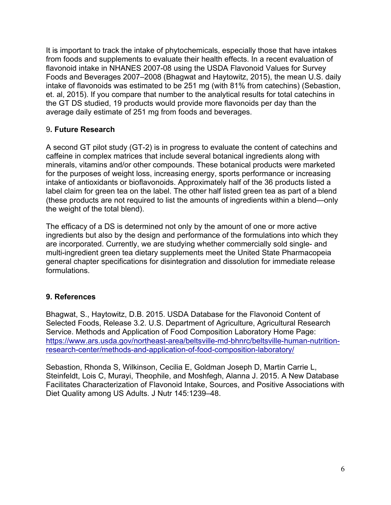It is important to track the intake of phytochemicals, especially those that have intakes from foods and supplements to evaluate their health effects. In a recent evaluation of flavonoid intake in NHANES 2007-08 using the USDA Flavonoid Values for Survey Foods and Beverages 2007–2008 (Bhagwat and Haytowitz, 2015), the mean U.S. daily intake of flavonoids was estimated to be 251 mg (with 81% from catechins) (Sebastion, et. al, 2015). If you compare that number to the analytical results for total catechins in the GT DS studied, 19 products would provide more flavonoids per day than the average daily estimate of 251 mg from foods and beverages.

#### 9**. Future Research**

A second GT pilot study (GT-2) is in progress to evaluate the content of catechins and caffeine in complex matrices that include several botanical ingredients along with minerals, vitamins and/or other compounds. These botanical products were marketed for the purposes of weight loss, increasing energy, sports performance or increasing intake of antioxidants or bioflavonoids. Approximately half of the 36 products listed a label claim for green tea on the label. The other half listed green tea as part of a blend (these products are not required to list the amounts of ingredients within a blend—only the weight of the total blend).

The efficacy of a DS is determined not only by the amount of one or more active ingredients but also by the design and performance of the formulations into which they are incorporated. Currently, we are studying whether commercially sold single- and multi-ingredient green tea dietary supplements meet the United State Pharmacopeia general chapter specifications for disintegration and dissolution for immediate release formulations.

#### **9. References**

Bhagwat, S., Haytowitz, D.B. 2015. USDA Database for the Flavonoid Content of Selected Foods, Release 3.2. U.S. Department of Agriculture, Agricultural Research Service. Methods and Application of Food Composition Laboratory Home Page: [https://www.ars.usda.gov/northeast-area/beltsville-md-bhnrc/beltsville-human-nutrition](https://www.ars.usda.gov/northeast-area/beltsville-md-bhnrc/beltsville-human-nutrition-research-center/methods-and-application-of-food-composition-laboratory/)[research-center/methods-and-application-of-food-composition-laboratory/](https://www.ars.usda.gov/northeast-area/beltsville-md-bhnrc/beltsville-human-nutrition-research-center/methods-and-application-of-food-composition-laboratory/)

Sebastion, Rhonda S, Wilkinson, Cecilia E, Goldman Joseph D, Martin Carrie L, Steinfeldt, Lois C, Murayi, Theophile, and Moshfegh, Alanna J. 2015. A New Database Facilitates Characterization of Flavonoid Intake, Sources, and Positive Associations with Diet Quality among US Adults. J Nutr 145:1239–48.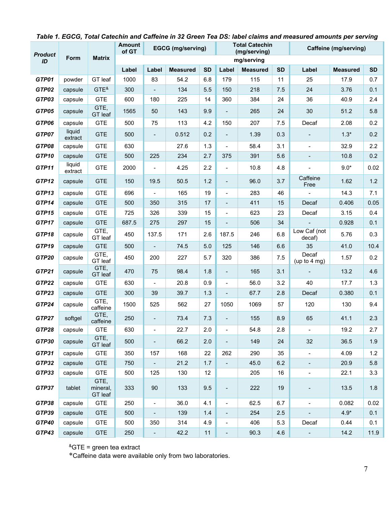| <b>Product</b><br>ID | Form              | <b>Matrix</b>               | <b>Amount</b><br>of GT     | <b>EGCG</b> (mg/serving) |                 |           |                              | <b>Total Catechin</b> |           | Caffeine (mg/serving)    |                 |           |  |
|----------------------|-------------------|-----------------------------|----------------------------|--------------------------|-----------------|-----------|------------------------------|-----------------------|-----------|--------------------------|-----------------|-----------|--|
|                      |                   |                             | (mg/serving)<br>mg/serving |                          |                 |           |                              |                       |           |                          |                 |           |  |
|                      |                   |                             | Label                      | Label                    | <b>Measured</b> | <b>SD</b> | Label                        | <b>Measured</b>       | <b>SD</b> | Label                    | <b>Measured</b> | <b>SD</b> |  |
| GTP01                | powder            | GT leaf                     | 1000                       | 83                       | 54.2            | 6.8       | 179                          | 115                   | 11        | 25                       | 17.9            | 0.7       |  |
| GTP02                | capsule           | GTE <sup>8</sup>            | 300                        |                          | 134             | 5.5       | 150                          | 218                   | 7.5       | 24                       | 3.76            | 0.1       |  |
| GTP03                | capsule           | <b>GTE</b>                  | 600                        | 180                      | 225             | 14        | 360                          | 384                   | 24        | 36                       | 40.9            | 2.4       |  |
| GTP05                | capsule           | GTE,<br>GT leaf             | 1565                       | 50                       | 143             | 9.9       |                              | 265                   | 24        | 30                       | 51.2            | 5.8       |  |
| GTP06                | capsule           | <b>GTE</b>                  | 500                        | 75                       | 113             | 4.2       | 150                          | 207                   | 7.5       | Decaf                    | 2.08            | 0.2       |  |
| GTP07                | liquid<br>extract | <b>GTE</b>                  | 500                        | $\overline{\phantom{0}}$ | 0.512           | 0.2       | $\blacksquare$               | 1.39                  | 0.3       |                          | $1.3*$          | 0.2       |  |
| GTP08                | capsule           | <b>GTE</b>                  | 630                        |                          | 27.6            | 1.3       |                              | 58.4                  | 3.1       | $\overline{\phantom{a}}$ | 32.9            | 2.2       |  |
| GTP10                | capsule           | <b>GTE</b>                  | 500                        | 225                      | 234             | 2.7       | 375                          | 391                   | 5.6       | $\overline{\phantom{a}}$ | 10.8            | 0.2       |  |
| GTP11                | liquid<br>extract | <b>GTE</b>                  | 2000                       | $\overline{\phantom{0}}$ | 4.25            | 2.2       | $\overline{\phantom{a}}$     | 10.8                  | 4.8       | $\blacksquare$           | $9.0*$          | 0.02      |  |
| GTP12                | capsule           | <b>GTE</b>                  | 150                        | 19.5                     | 50.5            | $1.2$     | $\overline{\phantom{0}}$     | 96.0                  | 3.7       | Caffeine<br>Free         | 1.62            | $1.2$     |  |
| GTP13                | capsule           | <b>GTE</b>                  | 696                        |                          | 165             | 19        | $\overline{\phantom{a}}$     | 283                   | 46        |                          | 14.3            | 7.1       |  |
| GTP14                | capsule           | <b>GTE</b>                  | 500                        | 350                      | 315             | 17        | $\overline{\phantom{a}}$     | 411                   | 15        | Decaf                    | 0.406           | 0.05      |  |
| GTP15                | capsule           | <b>GTE</b>                  | 725                        | 326                      | 339             | 15        | $\qquad \qquad \blacksquare$ | 623                   | 23        | Decaf                    | 3.15            | 0.4       |  |
| GTP17                | capsule           | <b>GTE</b>                  | 687.5                      | 275                      | 297             | 15        |                              | 506                   | 34        |                          | 0.928           | 0.1       |  |
| GTP18                | capsule           | GTE,<br>GT leaf             | 450                        | 137.5                    | 171             | 2.6       | 187.5                        | 246                   | 6.8       | Low Caf (not<br>decaf)   | 5.76            | 0.3       |  |
| GTP19                | capsule           | <b>GTE</b>                  | 500                        | $\overline{\phantom{0}}$ | 74.5            | $5.0$     | 125                          | 146                   | 6.6       | 35                       | 41.0            | 10.4      |  |
| GTP20                | capsule           | GTE,<br>GT leaf             | 450                        | 200                      | 227             | 5.7       | 320                          | 386                   | 7.5       | Decaf<br>(up to $4$ mg)  | 1.57            | 0.2       |  |
| GTP21                | capsule           | GTE,<br>GT leaf             | 470                        | 75                       | 98.4            | 1.8       | $\overline{a}$               | 165                   | 3.1       |                          | 13.2            | 4.6       |  |
| GTP22                | capsule           | <b>GTE</b>                  | 630                        | $\overline{\phantom{a}}$ | 20.8            | 0.9       | $\blacksquare$               | 56.0                  | 3.2       | 40                       | 17.7            | 1.3       |  |
| GTP23                | capsule           | <b>GTE</b>                  | 300                        | 39                       | 39.7            | 1.3       | Ξ.                           | 67.7                  | 2.8       | Decaf                    | 0.380           | 0.1       |  |
| GTP24                | capsule           | GTE,<br>caffeine            | 1500                       | 525                      | 562             | 27        | 1050                         | 1069                  | 57        | 120                      | 130             | 9.4       |  |
| GTP27                | softgel           | GTE,<br>caffeine            | 250                        |                          | 73.4            | 7.3       | $\overline{a}$               | 155                   | 8.9       | 65                       | 41.1            | 2.3       |  |
| GTP28                | capsule           | <b>GTE</b>                  | 630                        | $\overline{\phantom{0}}$ | 22.7            | 2.0       | $\overline{a}$               | 54.8                  | 2.8       | $\frac{1}{2}$            | 19.2            | 2.7       |  |
| GTP30                | capsule           | GTE,<br>GT leaf             | 500                        | $\overline{\phantom{0}}$ | 66.2            | 2.0       |                              | 149                   | 24        | 32                       | 36.5            | 1.9       |  |
| GTP31                | capsule           | <b>GTE</b>                  | 350                        | 157                      | 168             | 22        | 262                          | 290                   | 35        | $\blacksquare$           | 4.09            | 1.2       |  |
| GTP32                | capsule           | <b>GTE</b>                  | 750                        | $\overline{\phantom{a}}$ | 21.2            | 1.7       | $\blacksquare$               | 45.0                  | 6.2       | $\blacksquare$           | 20.9            | 5.8       |  |
| GTP33                | capsule           | <b>GTE</b>                  | 500                        | 125                      | 130             | 12        |                              | 205                   | 16        | $\overline{\phantom{a}}$ | 22.1            | 3.3       |  |
| GTP37                | tablet            | GTE,<br>mineral,<br>GT leaf | 333                        | $90\,$                   | 133             | 9.5       |                              | 222                   | 19        |                          | 13.5            | 1.8       |  |
| GTP38                | capsule           | <b>GTE</b>                  | 250                        | -                        | 36.0            | 4.1       | $\blacksquare$               | 62.5                  | 6.7       | $\overline{\phantom{a}}$ | 0.082           | 0.02      |  |
| GTP39                | capsule           | <b>GTE</b>                  | 500                        | $\overline{\phantom{a}}$ | 139             | 1.4       | $\blacksquare$               | 254                   | 2.5       | $\blacksquare$           | $4.9*$          | 0.1       |  |
| <b>GTP40</b>         | capsule           | <b>GTE</b>                  | 500                        | 350                      | 314             | 4.9       | $\overline{\phantom{0}}$     | 406                   | 5.3       | Decaf                    | 0.44            | 0.1       |  |
| GTP43                | capsule           | <b>GTE</b>                  | 250                        | $\overline{\phantom{0}}$ | 42.2            | 11        | $\blacksquare$               | 90.3                  | 4.6       | $\blacksquare$           | 14.2            | 11.9      |  |

#### *Table 1. EGCG, Total Catechin and Caffeine in 32 Green Tea DS: label claims and measured amounts per serving*

 ${}^8$ GTE = green tea extract

\*Caffeine data were available only from two laboratories.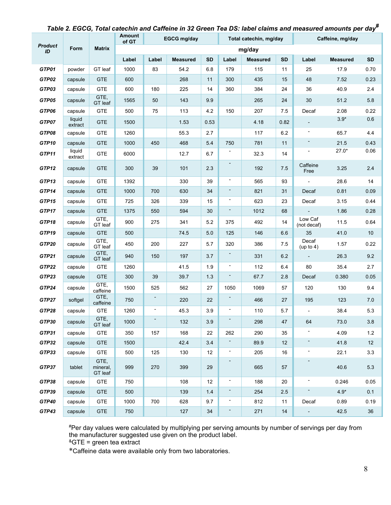|                      | Form              | <b>Matrix</b>               | Amount<br>of GT | <b>EGCG mg/day</b> |                 |           |                          | Total catechin, mg/day |           | Caffeine, mg/day         |                 |           |
|----------------------|-------------------|-----------------------------|-----------------|--------------------|-----------------|-----------|--------------------------|------------------------|-----------|--------------------------|-----------------|-----------|
| <b>Product</b><br>ID |                   |                             | mg/day          |                    |                 |           |                          |                        |           |                          |                 |           |
|                      |                   |                             | Label           | Label              | <b>Measured</b> | <b>SD</b> | Label                    | <b>Measured</b>        | <b>SD</b> | Label                    | <b>Measured</b> | <b>SD</b> |
| GTP01                | powder            | GT leaf                     | 1000            | 83                 | 54.2            | 6.8       | 179                      | 115                    | 11        | 25                       | 17.9            | 0.70      |
| GTP02                | capsule           | <b>GTE</b>                  | 600             |                    | 268             | 11        | 300                      | 435                    | 15        | 48                       | 7.52            | 0.23      |
| GTP03                | capsule           | <b>GTE</b>                  | 600             | 180                | 225             | 14        | 360                      | 384                    | 24        | 36                       | 40.9            | 2.4       |
| GTP05                | capsule           | GTE,<br>GT leaf             | 1565            | 50                 | 143             | 9.9       |                          | 265                    | 24        | 30                       | 51.2            | 5.8       |
| GTP06                | capsule           | <b>GTE</b>                  | 500             | 75                 | 113             | 4.2       | 150                      | 207                    | 7.5       | Decaf                    | 2.08            | 0.22      |
| GTP07                | liquid<br>extract | <b>GTE</b>                  | 1500            |                    | 1.53            | 0.53      |                          | 4.18                   | 0.82      | $\overline{\phantom{a}}$ | $3.9*$          | 0.6       |
| GTP08                | capsule           | <b>GTE</b>                  | 1260            |                    | 55.3            | 2.7       |                          | 117                    | 6.2       |                          | 65.7            | 4.4       |
| GTP10                | capsule           | <b>GTE</b>                  | 1000            | 450                | 468             | 5.4       | 750                      | 781                    | 11        | -                        | 21.5            | 0.43      |
| GTP11                | liquid<br>extract | <b>GTE</b>                  | 6000            |                    | 12.7            | 6.7       |                          | 32.3                   | 14        | ۰                        | $27.0*$         | 0.06      |
| GTP12                | capsule           | <b>GTE</b>                  | 300             | 39                 | 101             | 2.3       | $\overline{\phantom{a}}$ | 192                    | 7.5       | Caffeine<br>Free         | 3.25            | 2.4       |
| GTP13                | capsule           | <b>GTE</b>                  | 1392            |                    | 330             | 39        | $\blacksquare$           | 565                    | 93        |                          | 28.6            | 14        |
| GTP14                | capsule           | <b>GTE</b>                  | 1000            | 700                | 630             | 34        | ۰.                       | 821                    | 31        | Decaf                    | 0.81            | 0.09      |
| GTP15                | capsule           | <b>GTE</b>                  | 725             | 326                | 339             | 15        | $\overline{\phantom{a}}$ | 623                    | 23        | Decaf                    | 3.15            | 0.44      |
| GTP17                | capsule           | <b>GTE</b>                  | 1375            | 550                | 594             | 30        | ۰.                       | 1012                   | 68        |                          | 1.86            | 0.28      |
| GTP18                | capsule           | GTE,<br>GT leaf             | 900             | 275                | 341             | 5.2       | 375                      | 492                    | 14        | Low Caf<br>(not decaf)   | 11.5            | 0.64      |
| GTP19                | capsule           | <b>GTE</b>                  | 500             |                    | 74.5            | 5.0       | 125                      | 146                    | 6.6       | 35                       | 41.0            | 10        |
| GTP20                | capsule           | GTE,<br>GT leaf             | 450             | 200                | 227             | 5.7       | 320                      | 386                    | 7.5       | Decaf<br>(up to 4)       | 1.57            | 0.22      |
| GTP21                | capsule           | GTE,<br>GT leaf             | 940             | 150                | 197             | 3.7       | $\overline{\phantom{a}}$ | 331                    | 6.2       | $\overline{\phantom{a}}$ | 26.3            | 9.2       |
| GTP22                | capsule           | <b>GTE</b>                  | 1260            |                    | 41.5            | 1.9       | $\overline{\phantom{a}}$ | 112                    | 6.4       | 80                       | 35.4            | 2.7       |
| GTP23                | capsule           | <b>GTE</b>                  | 300             | 39                 | 39.7            | 1.3       | $\overline{\phantom{a}}$ | 67.7                   | 2.8       | Decaf                    | 0.380           | 0.05      |
| GTP24                | capsule           | GTE,<br>caffeine            | 1500            | 525                | 562             | 27        | 1050                     | 1069                   | 57        | 120                      | 130             | 9.4       |
| GTP27                | softgel           | GTE,<br>caffeine            | 750             | ۰                  | 220             | 22        | ۰                        | 466                    | 27        | 195                      | 123             | 7.0       |
| GTP28                | capsule           | <b>GTE</b>                  | 1260            | -                  | 45.3            | 3.9       | $\overline{\phantom{a}}$ | 110                    | 5.7       | $\overline{\phantom{a}}$ | 38.4            | 5.3       |
| GTP30                | capsule           | GTE,<br>GT leaf             | 1000            |                    | 132             | 3.9       |                          | 298                    | 47        | 64                       | 73.0            | 3.8       |
| GTP31                | capsule           | <b>GTE</b>                  | 350             | 157                | 168             | 22        | 262                      | 290                    | 35        |                          | 4.09            | 1.2       |
| GTP32                | capsule           | <b>GTE</b>                  | 1500            |                    | 42.4            | 3.4       | ۰.                       | 89.9                   | 12        | ۰.                       | 41.8            | 12        |
| GTP33                | capsule           | <b>GTE</b>                  | 500             | 125                | 130             | 12        | $\overline{\phantom{a}}$ | 205                    | 16        | ۰                        | 22.1            | 3.3       |
| GTP37                | tablet            | GTE,<br>mineral,<br>GT leaf | 999             | 270                | 399             | 29        | $\blacksquare$           | 665                    | 57        | $\overline{\phantom{0}}$ | 40.6            | 5.3       |
| GTP38                | capsule           | <b>GTE</b>                  | 750             |                    | 108             | 12        | $\overline{\phantom{a}}$ | 188                    | 20        | -                        | 0.246           | 0.05      |
| GTP39                | capsule           | <b>GTE</b>                  | 500             |                    | 139             | 1.4       | ۰.                       | 254                    | 2.5       | $\overline{\phantom{a}}$ | $4.9*$          | 0.1       |
| GTP40                | capsule           | <b>GTE</b>                  | 1000            | 700                | 628             | 9.7       | Ξ.                       | 812                    | 11        | Decaf                    | 0.89            | 0.19      |
| GTP43                | capsule           | <b>GTE</b>                  | 750             |                    | 127             | 34        | ٠                        | 271                    | 14        | $\omega_{\rm{max}}$      | 42.5            | 36        |

## *Table 2. EGCG, Total catechin and Caffeine in 32 Green Tea DS: label claims and measured amounts per day#*

#Per day values were calculated by multiplying per serving amounts by number of servings per day from the manufacturer suggested use given on the product label.

 $^{\&}$ GTE = green tea extract

\*Caffeine data were available only from two laboratories.